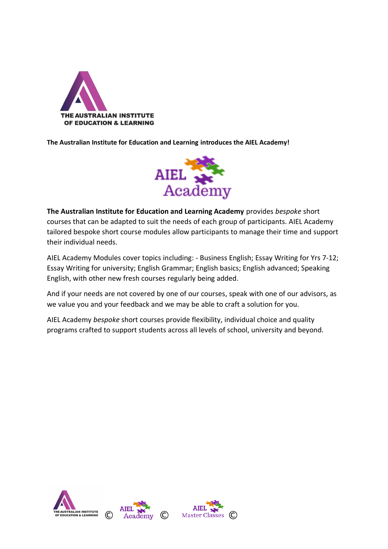

**The Australian Institute for Education and Learning introduces the AIEL Academy!**



**The Australian Institute for Education and Learning Academy** provides *bespoke* short courses that can be adapted to suit the needs of each group of participants. AIEL Academy tailored bespoke short course modules allow participants to manage their time and support their individual needs.

AIEL Academy Modules cover topics including: - Business English; Essay Writing for Yrs 7-12; Essay Writing for university; English Grammar; English basics; English advanced; Speaking English, with other new fresh courses regularly being added.

And if your needs are not covered by one of our courses, speak with one of our advisors, as we value you and your feedback and we may be able to craft a solution for you.

AIEL Academy *bespoke* short courses provide flexibility, individual choice and quality programs crafted to support students across all levels of school, university and beyond.

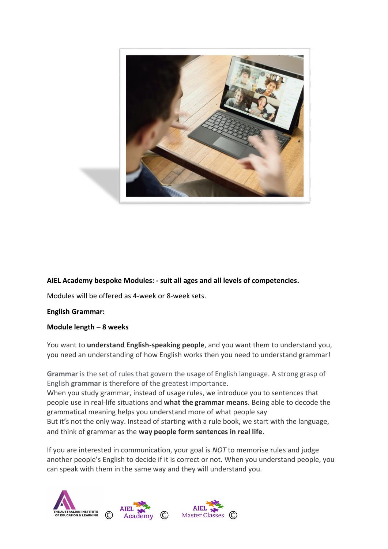

## **AIEL Academy bespoke Modules: - suit all ages and all levels of competencies.**

Modules will be offered as 4-week or 8-week sets.

#### **English Grammar:**

#### **Module length – 8 weeks**

You want to **understand English-speaking people**, and you want them to understand you, you need an understanding of how English works then you need to understand grammar!

**Grammar** is the set of rules that govern the usage of English language. A strong grasp of English **grammar** is therefore of the greatest importance.

When you study grammar, instead of usage rules, we introduce you to sentences that people use in real-life situations and **what the grammar means**. Being able to decode the grammatical meaning helps you understand more of what people say

But it's not the only way. Instead of starting with a rule book, we start with the language, and think of grammar as the **way people form sentences in real life**.

If you are interested in communication, your goal is *NOT* to memorise rules and judge another people's English to decide if it is correct or not. When you understand people, you can speak with them in the same way and they will understand you.

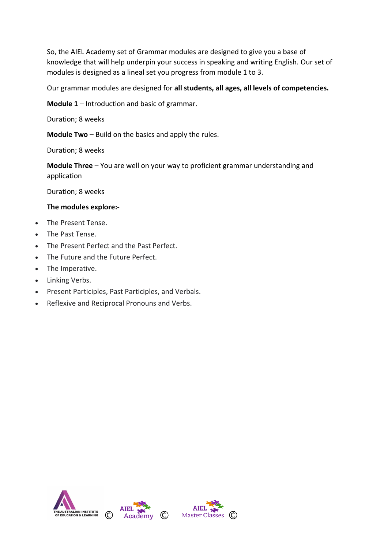So, the AIEL Academy set of Grammar modules are designed to give you a base of knowledge that will help underpin your success in speaking and writing English. Our set of modules is designed as a lineal set you progress from module 1 to 3.

Our grammar modules are designed for **all students, all ages, all levels of competencies.**

**Module 1** – Introduction and basic of grammar.

Duration; 8 weeks

**Module Two** – Build on the basics and apply the rules.

Duration; 8 weeks

**Module Three** – You are well on your way to proficient grammar understanding and application

Duration; 8 weeks

#### **The modules explore:-**

- The Present Tense.
- The Past Tense.
- The Present Perfect and the Past Perfect.
- The Future and the Future Perfect.
- The Imperative.
- Linking Verbs.
- Present Participles, Past Participles, and Verbals.
- Reflexive and Reciprocal Pronouns and Verbs.

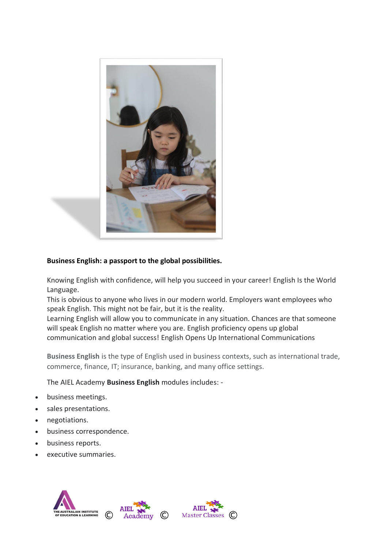

# **Business English: a passport to the global possibilities.**

Knowing English with confidence, will help you succeed in your career! English Is the World Language.

This is obvious to anyone who lives in our modern world. Employers want employees who speak English. This might not be fair, but it is the reality.

Learning English will allow you to communicate in any situation. Chances are that someone will speak English no matter where you are. English proficiency opens up global communication and global success! English Opens Up International Communications

**Business English** is the type of English used in business contexts, such as international trade, commerce, finance, IT; insurance, banking, and many office settings.

The AIEL Academy **Business English** modules includes: -

- business meetings.
- sales presentations.
- negotiations.
- business correspondence.
- business reports.
- executive summaries.

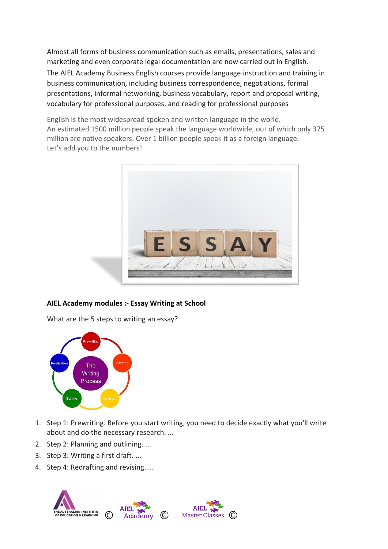Almost all forms of business communication such as emails, presentations, sales and marketing and even corporate legal documentation are now carried out in English. The AIEL Academy Business English courses provide language instruction and training in business communication, including business correspondence, negotiations, formal presentations, informal networking, business vocabulary, report and proposal writing, vocabulary for professional purposes, and reading for professional purposes

English is the most widespread spoken and written language in the world. An estimated 1500 million people speak the language worldwide, out of which only 375 million are native speakers. Over 1 billion people speak it as a foreign language. Let's add you to the numbers!



## **AIEL Academy modules :- Essay Writing at School**

What are the 5 steps to writing an essay?



- 1. Step 1: Prewriting. Before you start writing, you need to decide exactly what you'll write about and do the necessary research. ...
- 2. Step 2: Planning and outlining. ...
- 3. Step 3: Writing a first draft. ...
- 4. Step 4: Redrafting and revising. ...

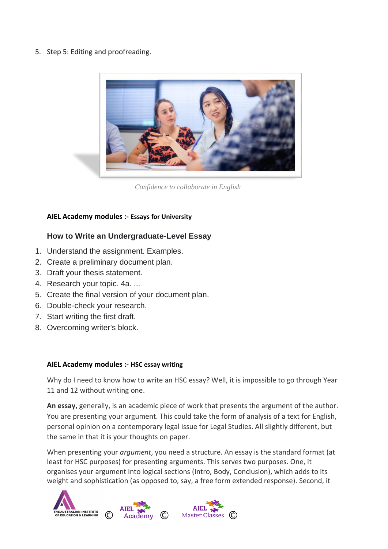5. Step 5: Editing and proofreading.



*Confidence to collaborate in English*

## **AIEL Academy modules :- Essays for University**

# **How to Write an Undergraduate-Level Essay**

- 1. Understand the assignment. Examples.
- 2. Create a preliminary document plan.
- 3. Draft your thesis statement.
- 4. Research your topic. 4a. ...
- 5. Create the final version of your document plan.
- 6. Double-check your research.
- 7. Start writing the first draft.
- 8. Overcoming writer's block.

#### **AIEL Academy modules :- HSC essay writing**

Why do I need to know how to write an HSC essay? Well, it is impossible to go through Year 11 and 12 without writing one.

**An essay,** generally, is an academic piece of work that presents the argument of the author. You are presenting your argument. This could take the form of analysis of a text for English, personal opinion on a contemporary legal issue for Legal Studies. All slightly different, but the same in that it is your thoughts on paper.

When presenting your *argument*, you need a structure. An essay is the standard format (at least for HSC purposes) for presenting arguments. This serves two purposes. One, it organises your argument into logical sections (Intro, Body, Conclusion), which adds to its weight and sophistication (as opposed to, say, a free form extended response). Second, it

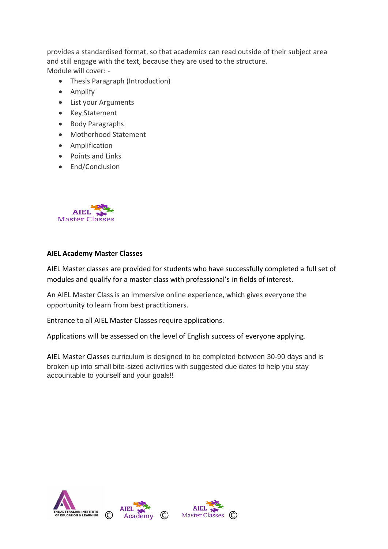provides a standardised format, so that academics can read outside of their subject area and still engage with the text, because they are used to the structure. Module will cover: -

- Thesis Paragraph (Introduction)
- Amplify
- List your Arguments
- Key Statement
- Body Paragraphs
- Motherhood Statement
- Amplification
- Points and Links
- End/Conclusion



#### **AIEL Academy Master Classes**

AIEL Master classes are provided for students who have successfully completed a full set of modules and qualify for a master class with professional's in fields of interest.

An AIEL Master Class is an immersive online experience, which gives everyone the opportunity to learn from best practitioners.

Entrance to all AIEL Master Classes require applications.

Applications will be assessed on the level of English success of everyone applying.

AIEL Master Classes curriculum is designed to be completed between 30-90 days and is broken up into small bite-sized activities with suggested due dates to help you stay accountable to yourself and your goals!!

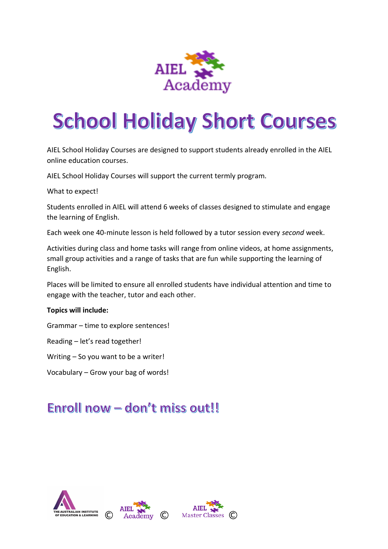

# **School Holiday Short Courses**

AIEL School Holiday Courses are designed to support students already enrolled in the AIEL online education courses.

AIEL School Holiday Courses will support the current termly program.

What to expect!

Students enrolled in AIEL will attend 6 weeks of classes designed to stimulate and engage the learning of English.

Each week one 40-minute lesson is held followed by a tutor session every *second* week.

Activities during class and home tasks will range from online videos, at home assignments, small group activities and a range of tasks that are fun while supporting the learning of English.

Places will be limited to ensure all enrolled students have individual attention and time to engage with the teacher, tutor and each other.

## **Topics will include:**

Grammar – time to explore sentences!

Reading – let's read together!

Writing – So you want to be a writer!

Vocabulary – Grow your bag of words!

# Enroll now - don't miss out!!